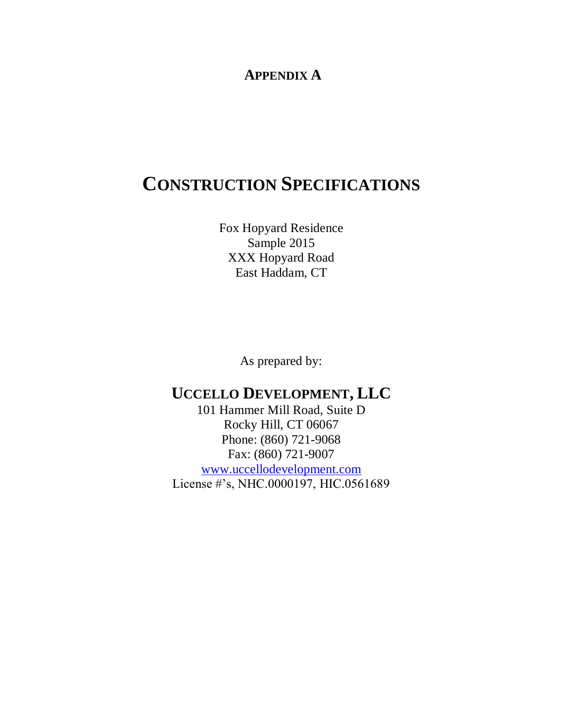### **APPENDIX A**

# **CONSTRUCTION SPECIFICATIONS**

Fox Hopyard Residence Sample 2015 XXX Hopyard Road East Haddam, CT

As prepared by:

### **UCCELLO DEVELOPMENT, LLC**

101 Hammer Mill Road, Suite D Rocky Hill, CT 06067 Phone: (860) 721-9068 Fax: (860) 721-9007 [www.uccellodevelopment.com](http://www.uccellodevelopment.com/) License #'s, NHC.0000197, HIC.0561689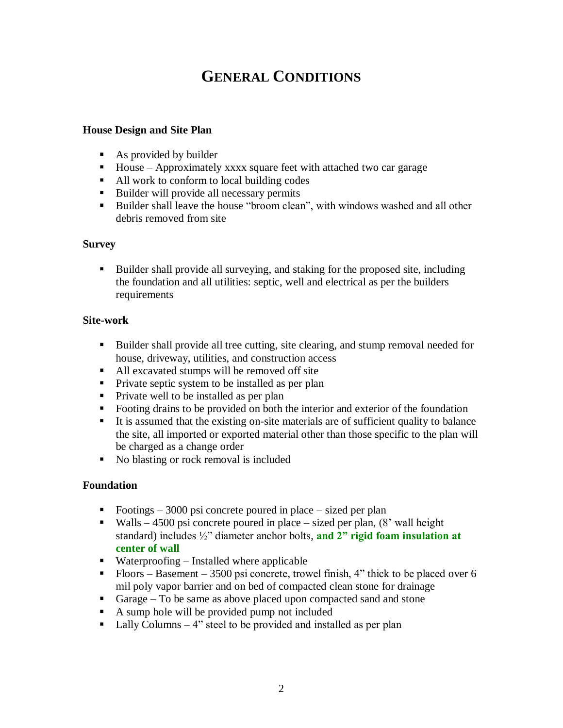## **GENERAL CONDITIONS**

#### **House Design and Site Plan**

- As provided by builder
- $\blacksquare$  House Approximately xxxx square feet with attached two car garage
- All work to conform to local building codes
- Builder will provide all necessary permits
- Builder shall leave the house "broom clean", with windows washed and all other debris removed from site

#### **Survey**

 Builder shall provide all surveying, and staking for the proposed site, including the foundation and all utilities: septic, well and electrical as per the builders requirements

#### **Site-work**

- Builder shall provide all tree cutting, site clearing, and stump removal needed for house, driveway, utilities, and construction access
- All excavated stumps will be removed off site
- **Private septic system to be installed as per plan**
- Private well to be installed as per plan
- Footing drains to be provided on both the interior and exterior of the foundation
- It is assumed that the existing on-site materials are of sufficient quality to balance the site, all imported or exported material other than those specific to the plan will be charged as a change order
- No blasting or rock removal is included

#### **Foundation**

- Footings  $-3000$  psi concrete poured in place  $-$  sized per plan
- Walls 4500 psi concrete poured in place sized per plan,  $(8'$  wall height standard) includes ½" diameter anchor bolts, **and 2" rigid foam insulation at center of wall**
- $\blacksquare$  Waterproofing Installed where applicable
- Floors Basement 3500 psi concrete, trowel finish, 4" thick to be placed over 6 mil poly vapor barrier and on bed of compacted clean stone for drainage
- Garage To be same as above placed upon compacted sand and stone
- A sump hole will be provided pump not included
- $\blacksquare$  Lally Columns 4" steel to be provided and installed as per plan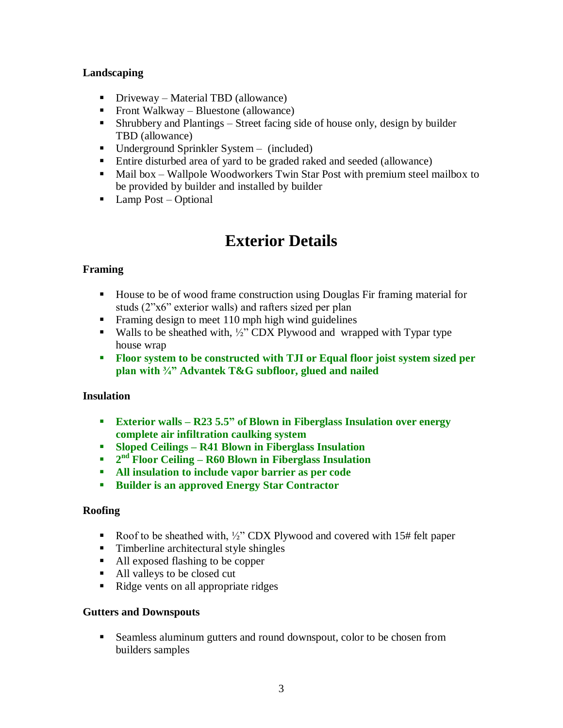#### **Landscaping**

- Driveway Material TBD (allowance)
- Front Walkway Bluestone (allowance)
- Shrubbery and Plantings Street facing side of house only, design by builder TBD (allowance)
- Underground Sprinkler System (included)
- Entire disturbed area of yard to be graded raked and seeded (allowance)
- Mail box Wallpole Woodworkers Twin Star Post with premium steel mailbox to be provided by builder and installed by builder
- $\blacksquare$  Lamp Post Optional

## **Exterior Details**

### **Framing**

- House to be of wood frame construction using Douglas Fir framing material for studs (2"x6" exterior walls) and rafters sized per plan
- Framing design to meet 110 mph high wind guidelines
- Walls to be sheathed with,  $\frac{1}{2}$  CDX Plywood and wrapped with Typar type house wrap
- **Floor system to be constructed with TJI or Equal floor joist system sized per plan with ¾" Advantek T&G subfloor, glued and nailed**

#### **Insulation**

- **Exterior walls – R23 5.5" of Blown in Fiberglass Insulation over energy complete air infiltration caulking system**
- **Sloped Ceilings – R41 Blown in Fiberglass Insulation**
- **2**<sup>nd</sup> **Floor Ceiling R60 Blown in Fiberglass Insulation**
- **All insulation to include vapor barrier as per code**
- **Builder is an approved Energy Star Contractor**

#### **Roofing**

- Roof to be sheathed with,  $\frac{1}{2}$ " CDX Plywood and covered with 15# felt paper
- Timberline architectural style shingles
- All exposed flashing to be copper
- All valleys to be closed cut
- Ridge vents on all appropriate ridges

#### **Gutters and Downspouts**

 Seamless aluminum gutters and round downspout, color to be chosen from builders samples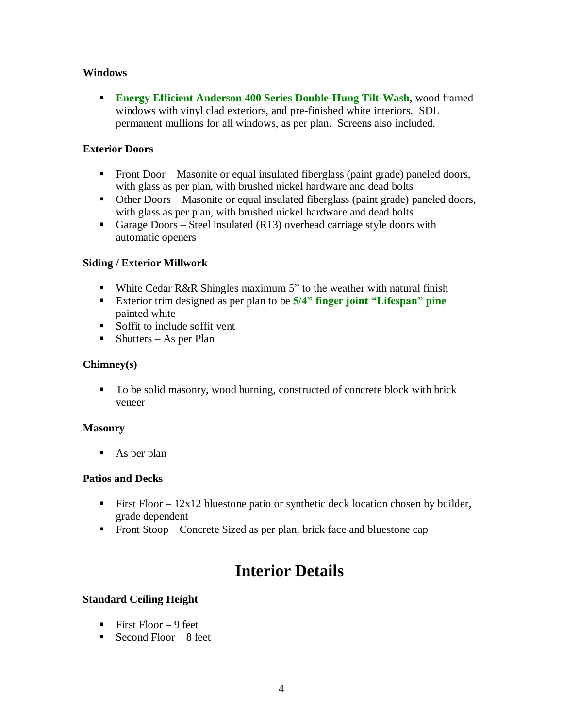#### **Windows**

 **Energy Efficient Anderson 400 Series Double-Hung Tilt-Wash**, wood framed windows with vinyl clad exteriors, and pre-finished white interiors. SDL permanent mullions for all windows, as per plan. Screens also included.

#### **Exterior Doors**

- Front Door Masonite or equal insulated fiberglass (paint grade) paneled doors, with glass as per plan, with brushed nickel hardware and dead bolts
- Other Doors Masonite or equal insulated fiberglass (paint grade) paneled doors, with glass as per plan, with brushed nickel hardware and dead bolts
- Garage Doors Steel insulated  $(R13)$  overhead carriage style doors with automatic openers

#### **Siding / Exterior Millwork**

- White Cedar R&R Shingles maximum 5" to the weather with natural finish
- Exterior trim designed as per plan to be **5/4" finger joint "Lifespan" pine** painted white
- Soffit to include soffit vent
- $\blacksquare$  Shutters As per Plan

#### **Chimney(s)**

To be solid masonry, wood burning, constructed of concrete block with brick veneer

#### **Masonry**

 $\blacksquare$  As per plan

#### **Patios and Decks**

- First Floor  $12x12$  bluestone patio or synthetic deck location chosen by builder, grade dependent
- **Front Stoop Concrete Sized as per plan, brick face and bluestone cap**

## **Interior Details**

#### **Standard Ceiling Height**

- First Floor  $-9$  feet
- Second Floor  $-8$  feet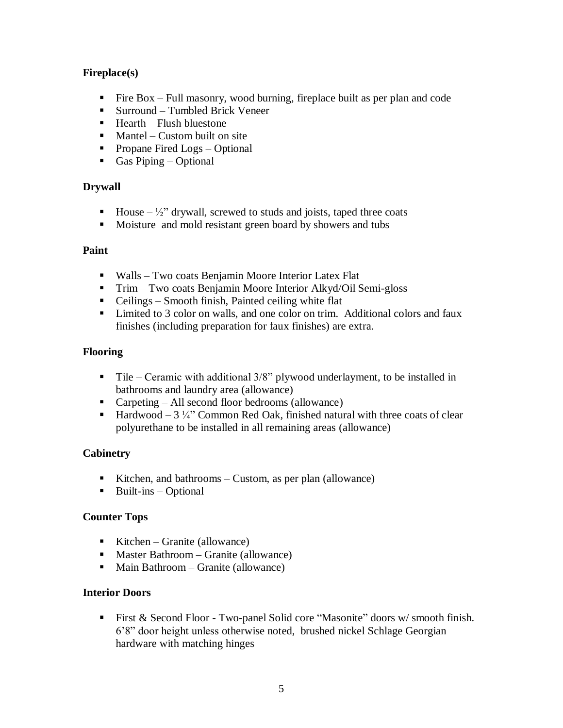#### **Fireplace(s)**

- Fire  $Box$  Full masonry, wood burning, fireplace built as per plan and code
- Surround Tumbled Brick Veneer
- $Hearth$  Flush bluestone
- $$
- Propane Fired Logs Optional
- Gas Piping Optional

#### **Drywall**

- House  $-\frac{1}{2}$ " drywall, screwed to studs and joists, taped three coats
- Moisture and mold resistant green board by showers and tubs

#### **Paint**

- Walls Two coats Benjamin Moore Interior Latex Flat
- Trim Two coats Benjamin Moore Interior Alkyd/Oil Semi-gloss
- $\blacksquare$  Ceilings Smooth finish, Painted ceiling white flat
- Limited to 3 color on walls, and one color on trim. Additional colors and faux finishes (including preparation for faux finishes) are extra.

#### **Flooring**

- $\blacksquare$  Tile Ceramic with additional 3/8" plywood underlayment, to be installed in bathrooms and laundry area (allowance)
- Carpeting All second floor bedrooms (allowance)
- **Hardwood** 3  $\frac{1}{4}$  Common Red Oak, finished natural with three coats of clear polyurethane to be installed in all remaining areas (allowance)

#### **Cabinetry**

- Kitchen, and bathrooms Custom, as per plan (allowance)
- $\blacksquare$  Built-ins Optional

#### **Counter Tops**

- Kitchen Granite (allowance)
- $\n **Master** Bathroom Grantie (allowance)$
- Main Bathroom Granite (allowance)

#### **Interior Doors**

First & Second Floor - Two-panel Solid core "Masonite" doors w/smooth finish. 6'8" door height unless otherwise noted, brushed nickel Schlage Georgian hardware with matching hinges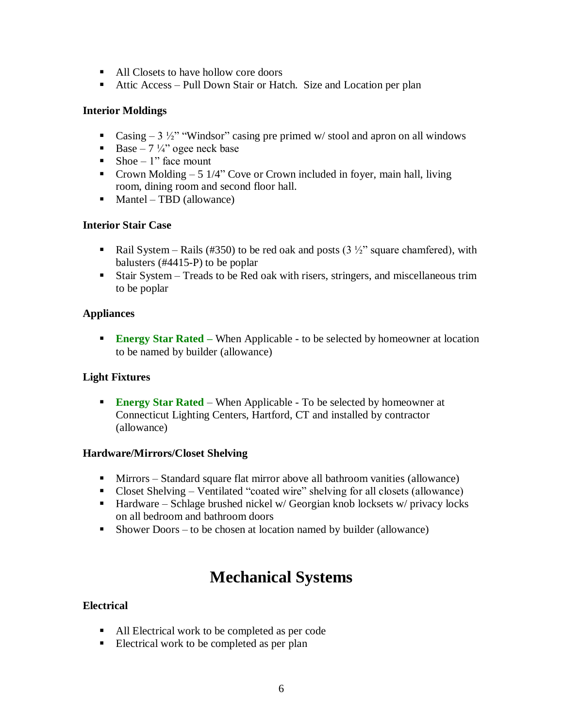- All Closets to have hollow core doors
- Attic Access Pull Down Stair or Hatch. Size and Location per plan

#### **Interior Moldings**

- Casing  $-3\frac{1}{2}$ " "Windsor" casing pre primed w/stool and apron on all windows
- Base 7  $\frac{1}{4}$  ogee neck base
- Shoe 1" face mount
- Crown Molding  $-5$  1/4" Cove or Crown included in foyer, main hall, living room, dining room and second floor hall.
- $Mantel TBD$  (allowance)

#### **Interior Stair Case**

- Rail System Rails (#350) to be red oak and posts (3  $\frac{1}{2}$ " square chamfered), with balusters (#4415-P) to be poplar
- Stair System Treads to be Red oak with risers, stringers, and miscellaneous trim to be poplar

#### **Appliances**

**Energy Star Rated** – When Applicable - to be selected by homeowner at location to be named by builder (allowance)

#### **Light Fixtures**

**Energy Star Rated** – When Applicable - To be selected by homeowner at Connecticut Lighting Centers, Hartford, CT and installed by contractor (allowance)

#### **Hardware/Mirrors/Closet Shelving**

- Mirrors Standard square flat mirror above all bathroom vanities (allowance)
- Closet Shelving Ventilated "coated wire" shelving for all closets (allowance)
- **Hardware** Schlage brushed nickel w/ Georgian knob locksets w/ privacy locks on all bedroom and bathroom doors
- Shower Doors to be chosen at location named by builder (allowance)

## **Mechanical Systems**

#### **Electrical**

- All Electrical work to be completed as per code
- Electrical work to be completed as per plan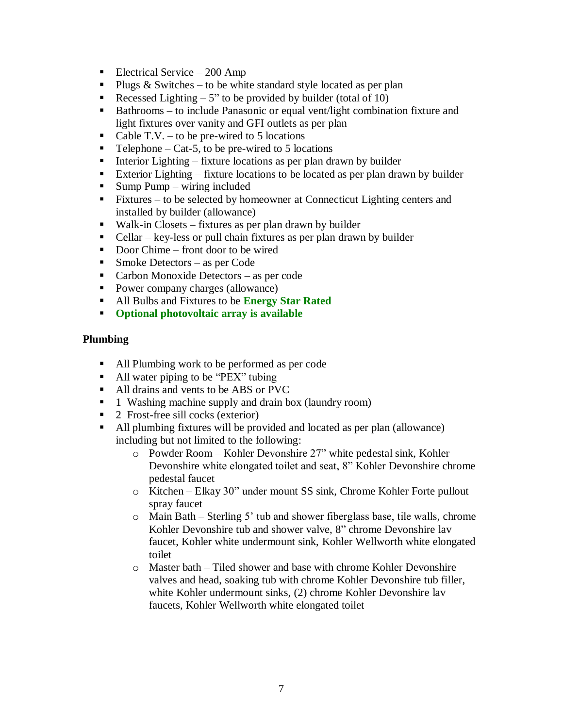- Electrical Service 200 Amp
- Plugs  $&$  Switches to be white standard style located as per plan
- Recessed Lighting  $-5$ " to be provided by builder (total of 10)
- Bathrooms to include Panasonic or equal vent/light combination fixture and light fixtures over vanity and GFI outlets as per plan
- Cable T.V. to be pre-wired to 5 locations
- $\blacksquare$  Telephone Cat-5, to be pre-wired to 5 locations
- Interior Lighting fixture locations as per plan drawn by builder
- Exterior Lighting fixture locations to be located as per plan drawn by builder
- $\blacksquare$  Sump Pump wiring included
- Fixtures to be selected by homeowner at Connecticut Lighting centers and installed by builder (allowance)
- Walk-in Closets fixtures as per plan drawn by builder
- $\blacksquare$  Cellar key-less or pull chain fixtures as per plan drawn by builder
- Door Chime front door to be wired
- $\blacksquare$  Smoke Detectors as per Code
- Carbon Monoxide Detectors as per code
- Power company charges (allowance)
- All Bulbs and Fixtures to be **Energy Star Rated**
- **Optional photovoltaic array is available**

#### **Plumbing**

- All Plumbing work to be performed as per code
- All water piping to be "PEX" tubing
- All drains and vents to be ABS or PVC
- **1** Washing machine supply and drain box (laundry room)
- 2 Frost-free sill cocks (exterior)
- All plumbing fixtures will be provided and located as per plan (allowance) including but not limited to the following:
	- o Powder Room Kohler Devonshire 27" white pedestal sink, Kohler Devonshire white elongated toilet and seat, 8" Kohler Devonshire chrome pedestal faucet
	- o Kitchen Elkay 30" under mount SS sink, Chrome Kohler Forte pullout spray faucet
	- o Main Bath Sterling 5' tub and shower fiberglass base, tile walls, chrome Kohler Devonshire tub and shower valve, 8" chrome Devonshire lav faucet, Kohler white undermount sink, Kohler Wellworth white elongated toilet
	- o Master bath Tiled shower and base with chrome Kohler Devonshire valves and head, soaking tub with chrome Kohler Devonshire tub filler, white Kohler undermount sinks, (2) chrome Kohler Devonshire lav faucets, Kohler Wellworth white elongated toilet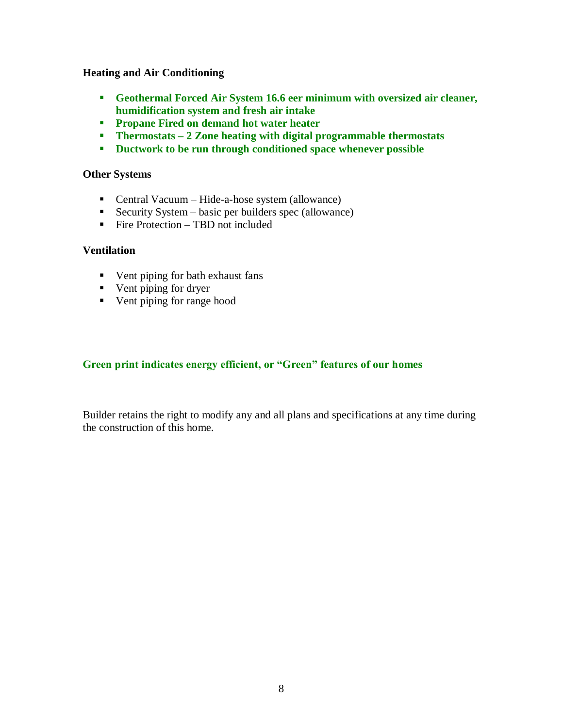#### **Heating and Air Conditioning**

- **Geothermal Forced Air System 16.6 eer minimum with oversized air cleaner, humidification system and fresh air intake**
- **Propane Fired on demand hot water heater**
- **Thermostats 2 Zone heating with digital programmable thermostats**
- **Ductwork to be run through conditioned space whenever possible**

#### **Other Systems**

- Central Vacuum Hide-a-hose system (allowance)
- Security System basic per builders spec (allowance)
- $\blacksquare$  Fire Protection TBD not included

#### **Ventilation**

- Vent piping for bath exhaust fans
- **v** Vent piping for dryer
- Vent piping for range hood

#### **Green print indicates energy efficient, or "Green" features of our homes**

Builder retains the right to modify any and all plans and specifications at any time during the construction of this home.